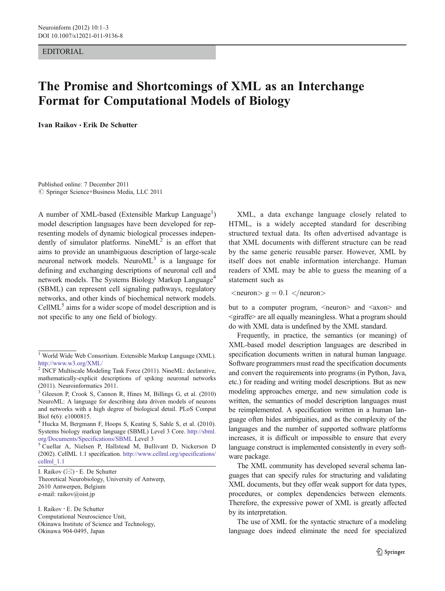EDITORIAL

## The Promise and Shortcomings of XML as an Interchange Format for Computational Models of Biology

Ivan Raikov & Erik De Schutter

Published online: 7 December 2011  $©$  Springer Science+Business Media, LLC 2011

A number of XML-based (Extensible Markup Language<sup>1</sup>) model description languages have been developed for representing models of dynamic biological processes independently of simulator platforms. Nine $ML^2$  is an effort that aims to provide an unambiguous description of large-scale neuronal network models. Neuro $ML^3$  is a language for defining and exchanging descriptions of neuronal cell and network models. The Systems Biology Markup Language<sup>4</sup> (SBML) can represent cell signaling pathways, regulatory networks, and other kinds of biochemical network models. CellML<sup>5</sup> aims for a wider scope of model description and is not specific to any one field of biology.

I. Raikov ( $\boxtimes$ ) · E. De Schutter Theoretical Neurobiology, University of Antwerp, 2610 Antwerpen, Belgium e-mail: raikov@oist.jp

I. Raikov : E. De Schutter Computational Neuroscience Unit, Okinawa Institute of Science and Technology, Okinawa 904-0495, Japan

XML, a data exchange language closely related to HTML, is a widely accepted standard for describing structured textual data. Its often advertised advantage is that XML documents with different structure can be read by the same generic reusable parser. However, XML by itself does not enable information interchange. Human readers of XML may be able to guess the meaning of a statement such as

 $\langle$ neuron $> g = 0.1 \langle$ neuron $>$ 

but to a computer program, <neuron> and <axon> and <giraffe> are all equally meaningless. What a program should do with XML data is undefined by the XML standard.

Frequently, in practice, the semantics (or meaning) of XML-based model description languages are described in specification documents written in natural human language. Software programmers must read the specification documents and convert the requirements into programs (in Python, Java, etc.) for reading and writing model descriptions. But as new modeling approaches emerge, and new simulation code is written, the semantics of model description languages must be reimplemented. A specification written in a human language often hides ambiguities, and as the complexity of the languages and the number of supported software platforms increases, it is difficult or impossible to ensure that every language construct is implemented consistently in every software package.

The XML community has developed several schema languages that can specify rules for structuring and validating XML documents, but they offer weak support for data types, procedures, or complex dependencies between elements. Therefore, the expressive power of XML is greatly affected by its interpretation.

The use of XML for the syntactic structure of a modeling language does indeed eliminate the need for specialized

<sup>&</sup>lt;sup>1</sup> World Wide Web Consortium. Extensible Markup Language (XML). <http://www.w3.org/XML/>

<sup>&</sup>lt;sup>2</sup> INCF Multiscale Modeling Task Force (2011). NineML: declarative, mathematically-explicit descriptions of spiking neuronal networks (2011). Neuroinformatics 2011.

<sup>3</sup> Gleeson P, Crook S, Cannon R, Hines M, Billings G, et al. (2010) NeuroML: A language for describing data driven models of neurons and networks with a high degree of biological detail. PLoS Comput Biol 6(6): e1000815.

<sup>4</sup> Hucka M, Bergmann F, Hoops S, Keating S, Sahle S, et al. (2010). Systems biology markup language (SBML) Level 3 Core. [http://sbml.](http://sbml.org/Documents/Specifications/SBML) [org/Documents/Specifications/SBML](http://sbml.org/Documents/Specifications/SBML) Level 3<br><sup>5</sup> Cuellar A, Nielsen P, Hallstead M, Bullivant D, Nickerson D

<sup>(2002).</sup> CellML 1.1 specification. [http://www.cellml.org/specifications/](http://www.cellml.org/specifications/cellml_1.1) [cellml\\_1.1](http://www.cellml.org/specifications/cellml_1.1)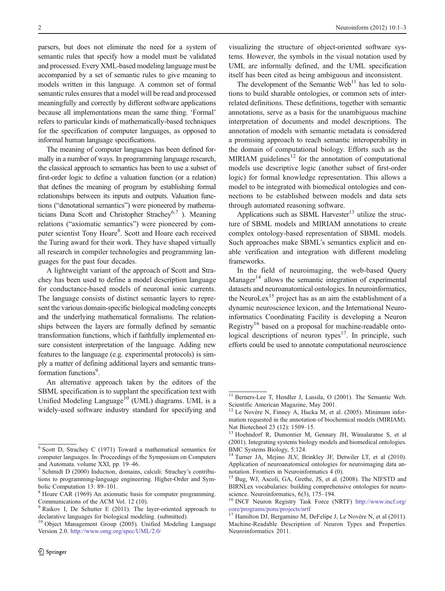parsers, but does not eliminate the need for a system of semantic rules that specify how a model must be validated and processed. Every XML-based modeling language must be accompanied by a set of semantic rules to give meaning to models written in this language. A common set of formal semantic rules ensures that a model will be read and processed meaningfully and correctly by different software applications because all implementations mean the same thing. 'Formal' refers to particular kinds of mathematically-based techniques for the specification of computer languages, as opposed to informal human language specifications.

The meaning of computer languages has been defined formally in a number of ways. In programming language research, the classical approach to semantics has been to use a subset of first-order logic to define a valuation function (or a relation) that defines the meaning of program by establishing formal relationships between its inputs and outputs. Valuation functions ("denotational semantics") were pioneered by mathematicians Dana Scott and Christopher Strachey<sup>6,7</sup>). Meaning relations ("axiomatic semantics") were pioneered by computer scientist Tony Hoare<sup>8</sup>. Scott and Hoare each received the Turing award for their work. They have shaped virtually all research in compiler technologies and programming languages for the past four decades.

A lightweight variant of the approach of Scott and Strachey has been used to define a model description language for conductance-based models of neuronal ionic currents. The language consists of distinct semantic layers to represent the various domain-specific biological modeling concepts and the underlying mathematical formalisms. The relationships between the layers are formally defined by semantic transformation functions, which if faithfully implemented ensure consistent interpretation of the language. Adding new features to the language (e.g. experimental protocols) is simply a matter of defining additional layers and semantic transformation functions<sup>9</sup>.

An alternative approach taken by the editors of the SBML specification is to supplant the specification text with Unified Modeling Language<sup>10</sup> (UML) diagrams. UML is a widely-used software industry standard for specifying and

visualizing the structure of object-oriented software systems. However, the symbols in the visual notation used by UML are informally defined, and the UML specification itself has been cited as being ambiguous and inconsistent.

The development of the Semantic Web<sup>11</sup> has led to solutions to build sharable ontologies, or common sets of interrelated definitions. These definitions, together with semantic annotations, serve as a basis for the unambiguous machine interpretation of documents and model descriptions. The annotation of models with semantic metadata is considered a promising approach to reach semantic interoperability in the domain of computational biology. Efforts such as the MIRIAM guidelines $12$  for the annotation of computational models use descriptive logic (another subset of first-order logic) for formal knowledge representation. This allows a model to be integrated with biomedical ontologies and connections to be established between models and data sets through automated reasoning software.

Applications such as SBML Harvester $13$  utilize the structure of SBML models and MIRIAM annotations to create complex ontology-based representation of SBML models. Such approaches make SBML's semantics explicit and enable verification and integration with different modeling frameworks.

In the field of neuroimaging, the web-based Query Manager<sup>14</sup> allows the semantic integration of experimental datasets and neuroanatomical ontologies. In neuroinformatics, the NeuroLex<sup>15</sup> project has as an aim the establishment of a dynamic neuroscience lexicon, and the International Neuroinformatics Coordinating Facility is developing a Neuron Registry<sup>16</sup> based on a proposal for machine-readable ontological descriptions of neuron types<sup>17</sup>. In principle, such efforts could be used to annotate computational neuroscience

<sup>6</sup> Scott D, Strachey C (1971) Toward a mathematical semantics for computer languages. In: Proceedings of the Symposium on Computers and Automata. volume XXI, pp. 19–46.<br><sup>7</sup> Schmidt D (2000) Induction, domains, calculi: Strachey's contribu-

tions to programming-language engineering. Higher-Order and Symbolic Computation 13: 89–101.<br><sup>8</sup> Hoare CAR (1969) An axiomatic basis for computer programming.

Communications of the ACM Vol. 12 (10).

 $9$  Raikov I, De Schutter E (2011). The layer-oriented approach to

declarative languages for biological modeling. (submitted). <sup>10</sup> Object Management Group (2005). Unified Modeling Language Version 2.0. <http://www.omg.org/spec/UML/2.0/>

 $\frac{11}{11}$  Berners-Lee T, Hendler J, Lassila, O (2001). The Semantic Web. Scientific American Magazine, May 2001.

<sup>&</sup>lt;sup>12</sup> Le Novère N, Finney A, Hucka M, et al. (2005). Minimum information requested in the annotation of biochemical models (MIRIAM). Nat Biotechnol 23 (12): 1509–15.

<sup>&</sup>lt;sup>13</sup> Hoehndorf R, Dumontier M, Gennary JH, Wimalaratne S, et al (2001). Integrating systems biology models and biomedical ontologies. BMC Systems Biology, 5:124.

<sup>&</sup>lt;sup>14</sup> Turner JA, Mejino JLV, Brinkley JF, Detwiler LT, et al (2010). Application of neuroanatomical ontologies for neuroimaging data annotation. Frontiers in Neuroinformatics 4 (0).

<sup>&</sup>lt;sup>15</sup> Bug, WJ, Ascoli, GA, Grethe, JS, et al. (2008). The NIFSTD and BIRNLex vocabularies: building comprehensive ontologies for neuro-

science. Neuroinformatics, 6(3), 175–194.<br><sup>16</sup> INCF Neuron Registry Task Force (NRTF) [http://www.incf.org/](http://www.incf.org/core/programs/pons/projects/nrtf) [core/programs/pons/projects/nrtf](http://www.incf.org/core/programs/pons/projects/nrtf)

<sup>&</sup>lt;sup>17</sup> Hamilton DJ, Bergamino M, DeFelipe J, Le Novère N, et al (2011). Machine-Readable Description of Neuron Types and Properties. Neuroinformatics 2011.